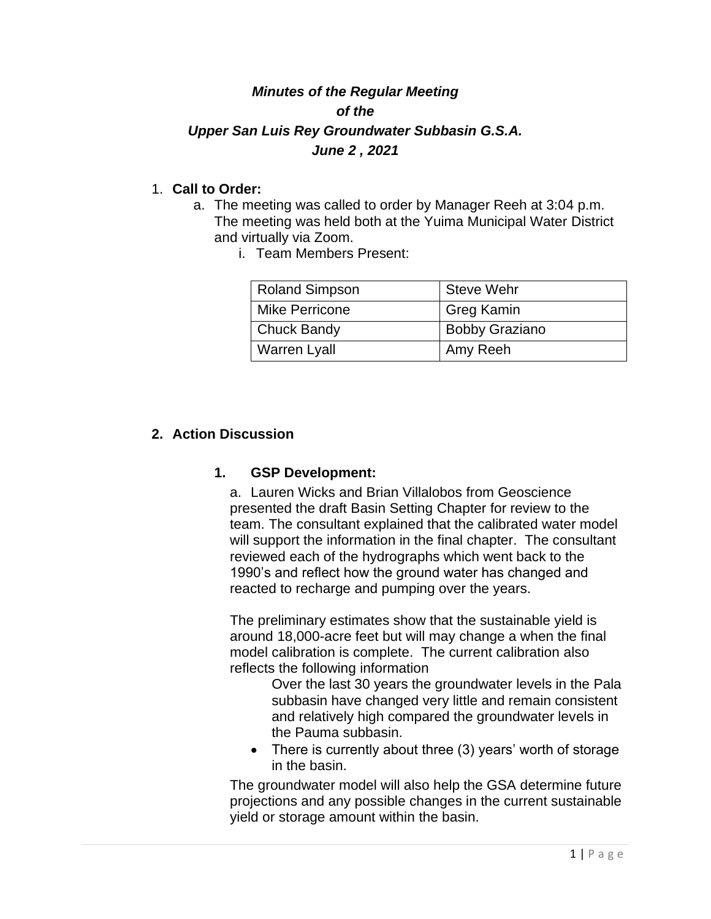## *Minutes of the Regular Meeting of the Upper San Luis Rey Groundwater Subbasin G.S.A. June 2 , 2021*

## 1. **Call to Order:**

- a. The meeting was called to order by Manager Reeh at 3:04 p.m. The meeting was held both at the Yuima Municipal Water District and virtually via Zoom.
	- i. Team Members Present:

| <b>Roland Simpson</b> | Steve Wehr            |
|-----------------------|-----------------------|
| <b>Mike Perricone</b> | <b>Greg Kamin</b>     |
| <b>Chuck Bandy</b>    | <b>Bobby Graziano</b> |
| <b>Warren Lyall</b>   | Amy Reeh              |

## **2. Action Discussion**

## **1. GSP Development:**

a. Lauren Wicks and Brian Villalobos from Geoscience presented the draft Basin Setting Chapter for review to the team. The consultant explained that the calibrated water model will support the information in the final chapter. The consultant reviewed each of the hydrographs which went back to the 1990's and reflect how the ground water has changed and reacted to recharge and pumping over the years.

The preliminary estimates show that the sustainable yield is around 18,000-acre feet but will may change a when the final model calibration is complete. The current calibration also reflects the following information

Over the last 30 years the groundwater levels in the Pala subbasin have changed very little and remain consistent and relatively high compared the groundwater levels in the Pauma subbasin.

• There is currently about three (3) years' worth of storage in the basin.

The groundwater model will also help the GSA determine future projections and any possible changes in the current sustainable yield or storage amount within the basin.